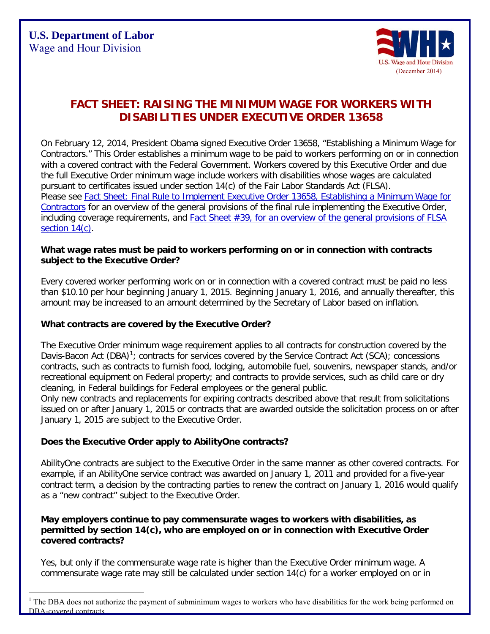

# **FACT SHEET: RAISING THE MINIMUM WAGE FOR WORKERS WITH DISABILITIES UNDER EXECUTIVE ORDER 13658**

On February 12, 2014, President Obama signed Executive Order 13658, "Establishing a Minimum Wage for Contractors." This Order establishes a minimum wage to be paid to workers performing on or in connection with a covered contract with the Federal Government. Workers covered by this Executive Order and due the full Executive Order minimum wage include workers with disabilities whose wages are calculated pursuant to certificates issued under section 14(c) of the Fair Labor Standards Act (FLSA). Please see [Fact Sheet: Final Rule to Implement Executive Order 13658, Establishing a Minimum Wage for](http://www.dol.gov/whd/flsa/eo13658/fr-factsheet.htm)  [Contractors](http://www.dol.gov/whd/flsa/eo13658/fr-factsheet.htm) for an overview of the general provisions of the final rule implementing the Executive Order, including coverage requirements, and [Fact Sheet #39, for an overview of the general provisions of FLSA](http://www.dol.gov/whd/specialemployment/workers_with_disabilities.htm)  [section 14\(c\).](http://www.dol.gov/whd/specialemployment/workers_with_disabilities.htm)

#### **What wage rates must be paid to workers performing on or in connection with contracts subject to the Executive Order?**

Every covered worker performing work on or in connection with a covered contract must be paid no less than \$10.10 per hour beginning January 1, 2015. Beginning January 1, 2016, and annually thereafter, this amount may be increased to an amount determined by the Secretary of Labor based on inflation.

# **What contracts are covered by the Executive Order?**

The Executive Order minimum wage requirement applies to all contracts for construction covered by the Davis-Bacon Act (DBA)<sup>[1](#page-0-0)</sup>; contracts for services covered by the Service Contract Act (SCA); concessions contracts, such as contracts to furnish food, lodging, automobile fuel, souvenirs, newspaper stands, and/or recreational equipment on Federal property; and contracts to provide services, such as child care or dry cleaning, in Federal buildings for Federal employees or the general public.

Only new contracts and replacements for expiring contracts described above that result from solicitations issued on or after January 1, 2015 or contracts that are awarded outside the solicitation process on or after January 1, 2015 are subject to the Executive Order.

# **Does the Executive Order apply to AbilityOne contracts?**

 $\overline{a}$ 

AbilityOne contracts are subject to the Executive Order in the same manner as other covered contracts. For example, if an AbilityOne service contract was awarded on January 1, 2011 and provided for a five-year contract term, a decision by the contracting parties to renew the contract on January 1, 2016 would qualify as a "new contract" subject to the Executive Order.

## **May employers continue to pay commensurate wages to workers with disabilities, as permitted by section 14(c), who are employed on or in connection with Executive Order covered contracts?**

Yes, but only if the commensurate wage rate is higher than the Executive Order minimum wage. A commensurate wage rate may still be calculated under section 14(c) for a worker employed on or in

<span id="page-0-0"></span><sup>&</sup>lt;sup>1</sup> The DBA does not authorize the payment of subminimum wages to workers who have disabilities for the work being performed on DBA-covered contracts.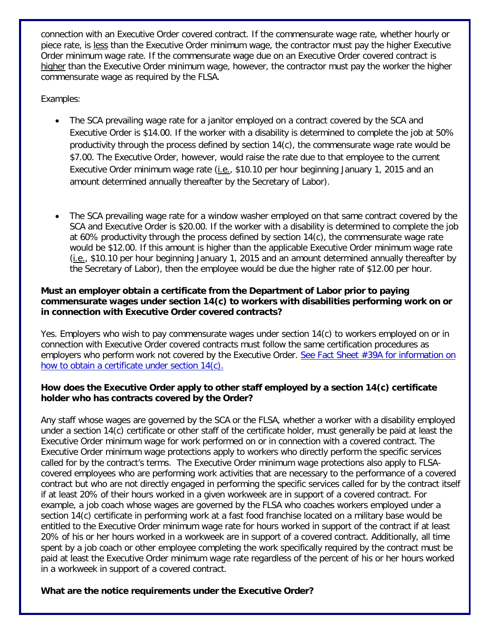connection with an Executive Order covered contract. If the commensurate wage rate, whether hourly or piece rate, is less than the Executive Order minimum wage, the contractor must pay the higher Executive Order minimum wage rate. If the commensurate wage due on an Executive Order covered contract is higher than the Executive Order minimum wage, however, the contractor must pay the worker the higher commensurate wage as required by the FLSA.

Examples:

- The SCA prevailing wage rate for a janitor employed on a contract covered by the SCA and Executive Order is \$14.00. If the worker with a disability is determined to complete the job at 50% productivity through the process defined by section 14(c), the commensurate wage rate would be \$7.00. The Executive Order, however, would raise the rate due to that employee to the current Executive Order minimum wage rate (i.e., \$10.10 per hour beginning January 1, 2015 and an amount determined annually thereafter by the Secretary of Labor).
- The SCA prevailing wage rate for a window washer employed on that same contract covered by the SCA and Executive Order is \$20.00. If the worker with a disability is determined to complete the job at 60% productivity through the process defined by section 14(c), the commensurate wage rate would be \$12.00. If this amount is higher than the applicable Executive Order minimum wage rate (i.e., \$10.10 per hour beginning January 1, 2015 and an amount determined annually thereafter by the Secretary of Labor), then the employee would be due the higher rate of \$12.00 per hour.

## **Must an employer obtain a certificate from the Department of Labor prior to paying commensurate wages under section 14(c) to workers with disabilities performing work on or in connection with Executive Order covered contracts?**

Yes. Employers who wish to pay commensurate wages under section 14(c) to workers employed on or in connection with Executive Order covered contracts must follow the same certification procedures as employers who perform work not covered by the Executive Order. [See Fact Sheet #39A for information on](http://www.dol.gov/whd/regs/compliance/whdfs39a.pdf)  [how to obtain a certificate under section 14\(c\).](http://www.dol.gov/whd/regs/compliance/whdfs39a.pdf)

# **How does the Executive Order apply to other staff employed by a section 14(c) certificate holder who has contracts covered by the Order?**

Any staff whose wages are governed by the SCA or the FLSA, whether a worker with a disability employed under a section 14(c) certificate or other staff of the certificate holder, must generally be paid at least the Executive Order minimum wage for work performed on or in connection with a covered contract. The Executive Order minimum wage protections apply to workers who directly perform the specific services called for by the contract's terms. The Executive Order minimum wage protections also apply to FLSAcovered employees who are performing work activities that are necessary to the performance of a covered contract but who are not directly engaged in performing the specific services called for by the contract itself if at least 20% of their hours worked in a given workweek are in support of a covered contract. For example, a job coach whose wages are governed by the FLSA who coaches workers employed under a section 14(c) certificate in performing work at a fast food franchise located on a military base would be entitled to the Executive Order minimum wage rate for hours worked in support of the contract if at least 20% of his or her hours worked in a workweek are in support of a covered contract. Additionally, all time spent by a job coach or other employee completing the work specifically required by the contract must be paid at least the Executive Order minimum wage rate regardless of the percent of his or her hours worked in a workweek in support of a covered contract.

# **What are the notice requirements under the Executive Order?**